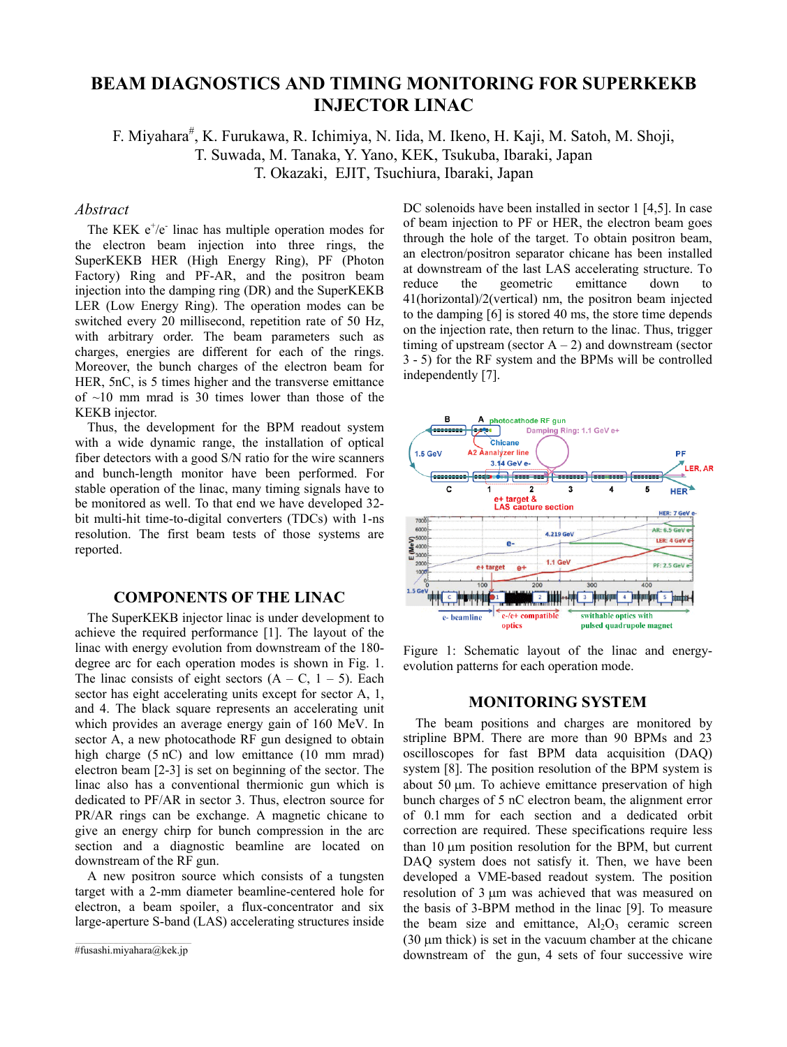# **BEAM DIAGNOSTICS AND TIMING MONITORING FOR SUPERKEKB INJECTOR LINAC**

F. Miyahara<sup>#</sup>, K. Furukawa, R. Ichimiya, N. Iida, M. Ikeno, H. Kaji, M. Satoh, M. Shoji, T. Suwada, M. Tanaka, Y. Yano, KEK, Tsukuba, Ibaraki, Japan T. Okazaki, EJIT, Tsuchiura, Ibaraki, Japan

# *Abstract*

The KEK  $e^+/e^-$  linac has multiple operation modes for the electron beam injection into three rings, the SuperKEKB HER (High Energy Ring), PF (Photon Factory) Ring and PF-AR, and the positron beam injection into the damping ring (DR) and the SuperKEKB LER (Low Energy Ring). The operation modes can be switched every 20 millisecond, repetition rate of 50 Hz, with arbitrary order. The beam parameters such as charges, energies are different for each of the rings. Moreover, the bunch charges of the electron beam for HER, 5nC, is 5 times higher and the transverse emittance of  $\sim$ 10 mm mrad is 30 times lower than those of the KEKB injector.

Thus, the development for the BPM readout system with a wide dynamic range, the installation of optical fiber detectors with a good S/N ratio for the wire scanners and bunch-length monitor have been performed. For stable operation of the linac, many timing signals have to be monitored as well. To that end we have developed 32 bit multi-hit time-to-digital converters (TDCs) with 1-ns resolution. The first beam tests of those systems are reported.

### **COMPONENTS OF THE LINAC**

The SuperKEKB injector linac is under development to achieve the required performance [1]. The layout of the linac with energy evolution from downstream of the 180 degree arc for each operation modes is shown in Fig. 1. The linac consists of eight sectors  $(A - C, 1 - 5)$ . Each sector has eight accelerating units except for sector A, 1, and 4. The black square represents an accelerating unit which provides an average energy gain of 160 MeV. In sector A, a new photocathode RF gun designed to obtain high charge (5 nC) and low emittance (10 mm mrad) electron beam [2-3] is set on beginning of the sector. The linac also has a conventional thermionic gun which is dedicated to PF/AR in sector 3. Thus, electron source for PR/AR rings can be exchange. A magnetic chicane to give an energy chirp for bunch compression in the arc section and a diagnostic beamline are located on downstream of the RF gun.

A new positron source which consists of a tungsten target with a 2-mm diameter beamline-centered hole for electron, a beam spoiler, a flux-concentrator and six large-aperture S-band (LAS) accelerating structures inside

DC solenoids have been installed in sector 1 [4,5]. In case of beam injection to PF or HER, the electron beam goes through the hole of the target. To obtain positron beam, an electron/positron separator chicane has been installed at downstream of the last LAS accelerating structure. To reduce the geometric emittance down to 41(horizontal)/2(vertical) nm, the positron beam injected to the damping [6] is stored 40 ms, the store time depends on the injection rate, then return to the linac. Thus, trigger timing of upstream (sector  $A - 2$ ) and downstream (sector 3 - 5) for the RF system and the BPMs will be controlled independently [7].



Figure 1: Schematic layout of the linac and energyevolution patterns for each operation mode.

#### **MONITORING SYSTEM**

The beam positions and charges are monitored by stripline BPM. There are more than 90 BPMs and 23 oscilloscopes for fast BPM data acquisition (DAQ) system [8]. The position resolution of the BPM system is about 50  $\mu$ m. To achieve emittance preservation of high bunch charges of 5 nC electron beam, the alignment error of 0.1 mm for each section and a dedicated orbit correction are required. These specifications require less than 10 um position resolution for the BPM, but current DAQ system does not satisfy it. Then, we have been developed a VME-based readout system. The position resolution of 3 µm was achieved that was measured on the basis of 3-BPM method in the linac [9]. To measure the beam size and emittance,  $Al_2O_3$  ceramic screen (30 µm thick) is set in the vacuum chamber at the chicane downstream of the gun, 4 sets of four successive wire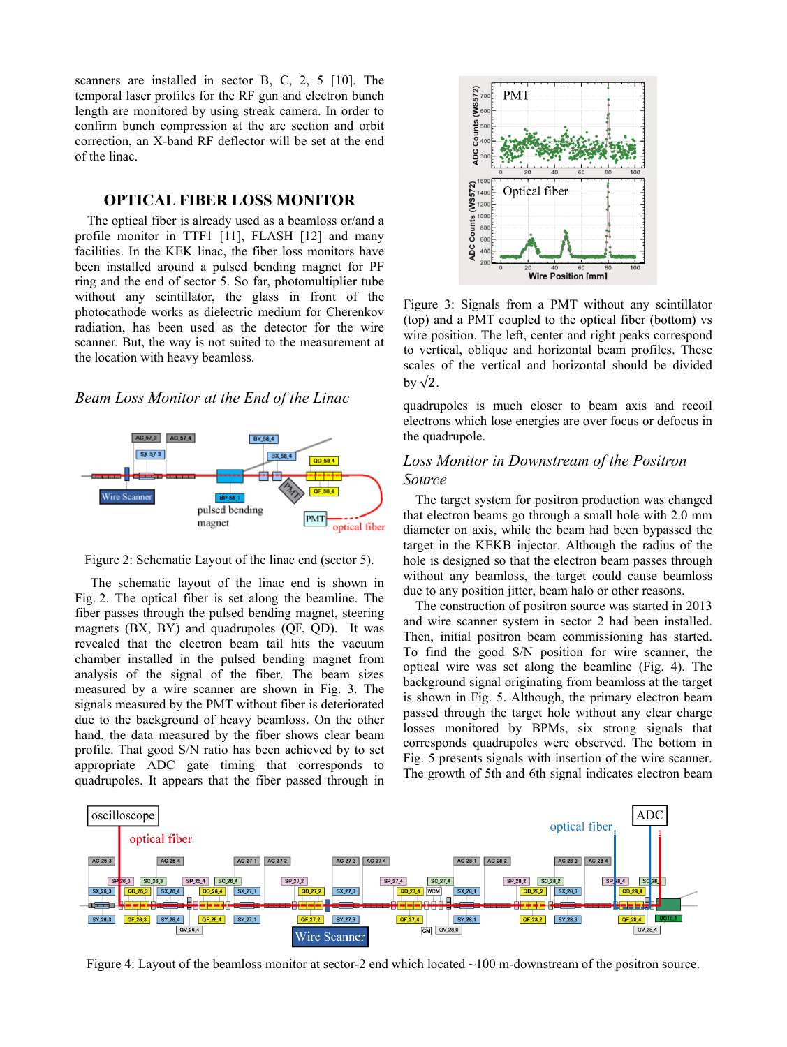scanners are installed in sector B, C, 2, 5 [10]. The temporal laser profiles for the RF gun and electron bunch length are monitored by using streak camera. In order to confirm bunch compression at the arc section and orbit correction, an X-band RF deflector will be set at the end of the linac.

### **OPTICAL FIBER LOSS MONITOR**

The optical fiber is already used as a beamloss or/and a profile monitor in TTF1 [11], FLASH [12] and many facilities. In the KEK linac, the fiber loss monitors have been installed around a pulsed bending magnet for PF ring and the end of sector 5. So far, photomultiplier tube without any scintillator, the glass in front of the photocathode works as dielectric medium for Cherenkov radiation, has been used as the detector for the wire scanner. But, the way is not suited to the measurement at the location with heavy beamloss.

### *Beam Loss Monitor at the End of the Linac*





 The schematic layout of the linac end is shown in Fig. 2. The optical fiber is set along the beamline. The fiber passes through the pulsed bending magnet, steering magnets (BX, BY) and quadrupoles (QF, QD). It was revealed that the electron beam tail hits the vacuum chamber installed in the pulsed bending magnet from analysis of the signal of the fiber. The beam sizes measured by a wire scanner are shown in Fig. 3. The signals measured by the PMT without fiber is deteriorated due to the background of heavy beamloss. On the other hand, the data measured by the fiber shows clear beam profile. That good S/N ratio has been achieved by to set appropriate ADC gate timing that corresponds to quadrupoles. It appears that the fiber passed through in



Figure 3: Signals from a PMT without any scintillator (top) and a PMT coupled to the optical fiber (bottom) vs wire position. The left, center and right peaks correspond to vertical, oblique and horizontal beam profiles. These scales of the vertical and horizontal should be divided by  $\sqrt{2}$ .

quadrupoles is much closer to beam axis and recoil electrons which lose energies are over focus or defocus in the quadrupole.

# *Loss Monitor in Downstream of the Positron Source*

The target system for positron production was changed that electron beams go through a small hole with 2.0 mm diameter on axis, while the beam had been bypassed the target in the KEKB injector. Although the radius of the hole is designed so that the electron beam passes through without any beamloss, the target could cause beamloss due to any position jitter, beam halo or other reasons.

The construction of positron source was started in 2013 and wire scanner system in sector 2 had been installed. Then, initial positron beam commissioning has started. To find the good S/N position for wire scanner, the optical wire was set along the beamline (Fig. 4). The background signal originating from beamloss at the target is shown in Fig. 5. Although, the primary electron beam passed through the target hole without any clear charge losses monitored by BPMs, six strong signals that corresponds quadrupoles were observed. The bottom in Fig. 5 presents signals with insertion of the wire scanner. The growth of 5th and 6th signal indicates electron beam



Figure 4: Layout of the beamloss monitor at sector-2 end which located ~100 m-downstream of the positron source.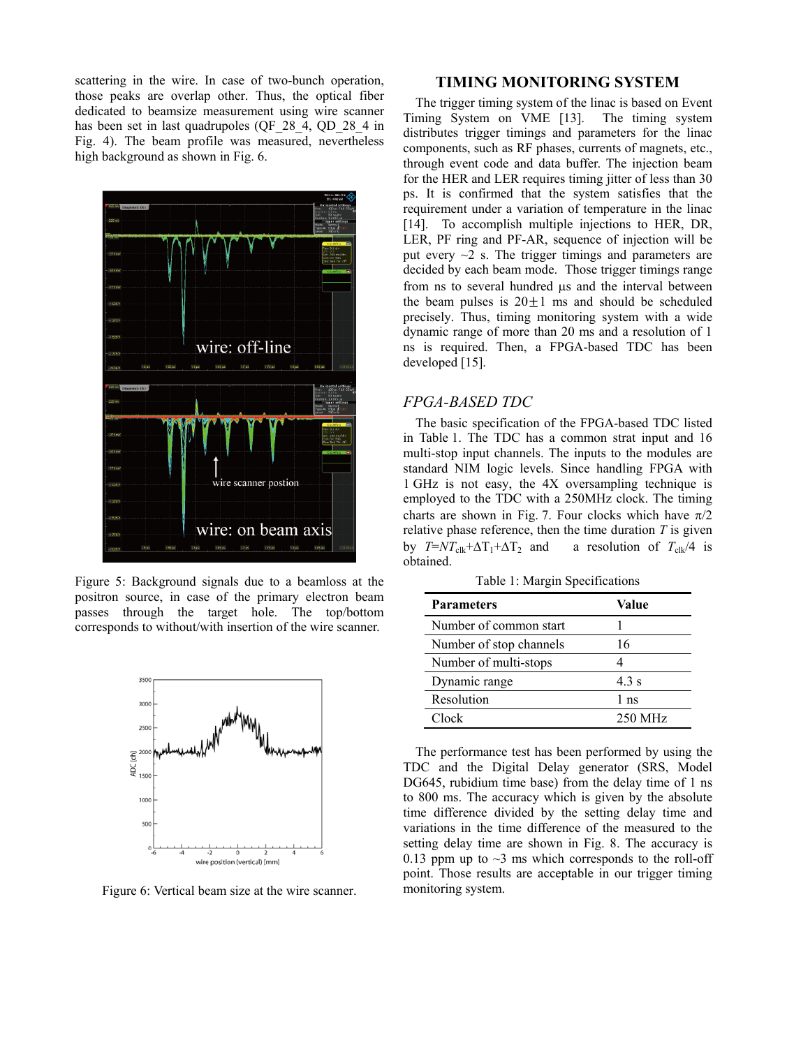scattering in the wire. In case of two-bunch operation, those peaks are overlap other. Thus, the optical fiber dedicated to beamsize measurement using wire scanner has been set in last quadrupoles (QF\_28\_4, QD\_28\_4 in Fig. 4). The beam profile was measured, nevertheless high background as shown in Fig. 6.



Figure 5: Background signals due to a beamloss at the positron source, in case of the primary electron beam passes through the target hole. The top/bottom corresponds to without/with insertion of the wire scanner.



Figure 6: Vertical beam size at the wire scanner.

### **TIMING MONITORING SYSTEM**

The trigger timing system of the linac is based on Event Timing System on VME [13]. The timing system distributes trigger timings and parameters for the linac components, such as RF phases, currents of magnets, etc., through event code and data buffer. The injection beam for the HER and LER requires timing jitter of less than 30 ps. It is confirmed that the system satisfies that the requirement under a variation of temperature in the linac [14]. To accomplish multiple injections to HER, DR, LER, PF ring and PF-AR, sequence of injection will be put every  $\sim$ 2 s. The trigger timings and parameters are decided by each beam mode. Those trigger timings range from ns to several hundred us and the interval between the beam pulses is  $20 \pm 1$  ms and should be scheduled precisely. Thus, timing monitoring system with a wide dynamic range of more than 20 ms and a resolution of 1 ns is required. Then, a FPGA-based TDC has been developed [15].

### *FPGA-BASED TDC*

The basic specification of the FPGA-based TDC listed in Table 1. The TDC has a common strat input and 16 multi-stop input channels. The inputs to the modules are standard NIM logic levels. Since handling FPGA with 1 GHz is not easy, the 4X oversampling technique is employed to the TDC with a 250MHz clock. The timing charts are shown in Fig. 7. Four clocks which have  $\pi/2$ relative phase reference, then the time duration  $T$  is given by  $T=N T_{\text{clk}}+\Delta T_1+\Delta T_2$  and a resolution of  $T_{\text{clk}}/4$  is obtained.

Table 1: Margin Specifications

| <b>Parameters</b>       | Value           |
|-------------------------|-----------------|
| Number of common start  |                 |
| Number of stop channels | 16              |
| Number of multi-stops   |                 |
| Dynamic range           | 4.3 s           |
| Resolution              | 1 <sub>ns</sub> |
| Clock                   | 250 MHz         |

The performance test has been performed by using the TDC and the Digital Delay generator (SRS, Model DG645, rubidium time base) from the delay time of 1 ns to 800 ms. The accuracy which is given by the absolute time difference divided by the setting delay time and variations in the time difference of the measured to the setting delay time are shown in Fig. 8. The accuracy is 0.13 ppm up to  $\sim$ 3 ms which corresponds to the roll-off point. Those results are acceptable in our trigger timing monitoring system.